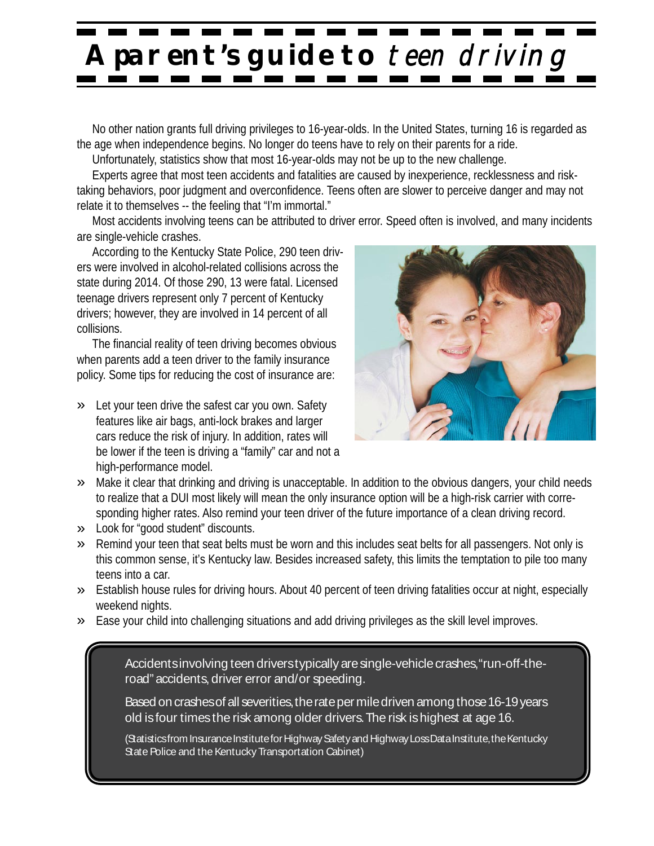## **A parent' s guide to** teen driving

No other nation grants full driving privileges to 16-year-olds. In the United States, turning 16 is regarded as the age when independence begins. No longer do teens have to rely on their parents for a ride.

Unfortunately, statistics show that most 16-year-olds may not be up to the new challenge.

Experts agree that most teen accidents and fatalities are caused by inexperience, recklessness and risktaking behaviors, poor judgment and overconfidence. Teens often are slower to perceive danger and may not relate it to themselves -- the feeling that "I'm immortal."

Most accidents involving teens can be attributed to driver error. Speed often is involved, and many incidents are single-vehicle crashes.

According to the Kentucky State Police, 290 teen drivers were involved in alcohol-related collisions across the state during 2014. Of those 290, 13 were fatal. Licensed teenage drivers represent only 7 percent of Kentucky drivers; however, they are involved in 14 percent of all collisions.

The financial reality of teen driving becomes obvious when parents add a teen driver to the family insurance policy. Some tips for reducing the cost of insurance are:

» Let your teen drive the safest car you own. Safety features like air bags, anti-lock brakes and larger cars reduce the risk of injury. In addition, rates will be lower if the teen is driving a "family" car and not a high-performance model.



- » Make it clear that drinking and driving is unacceptable. In addition to the obvious dangers, your child needs to realize that a DUI most likely will mean the only insurance option will be a high-risk carrier with corresponding higher rates. Also remind your teen driver of the future importance of a clean driving record.
- » Look for "good student" discounts.
- » Remind your teen that seat belts must be worn and this includes seat belts for all passengers. Not only is this common sense, it's Kentucky law. Besides increased safety, this limits the temptation to pile too many teens into a car.
- » Establish house rules for driving hours. About 40 percent of teen driving fatalities occur at night, especially weekend nights.
- » Ease your child into challenging situations and add driving privileges as the skill level improves.

Accidents involving teen driverstypically are single-vehicle crashes, "run-off-theroad" accidents, driver error and/or speeding.

Based on crashes of all severities, the rate per mile driven among those 16-19 years old isfour timesthe risk among older drivers.The risk ishighest at age 16.

(Statisticsfrom Insurance Institute for Highway Safety and Highway Loss Data Institute, the Kentucky State Police and the Kentucky Transportation Cabinet)